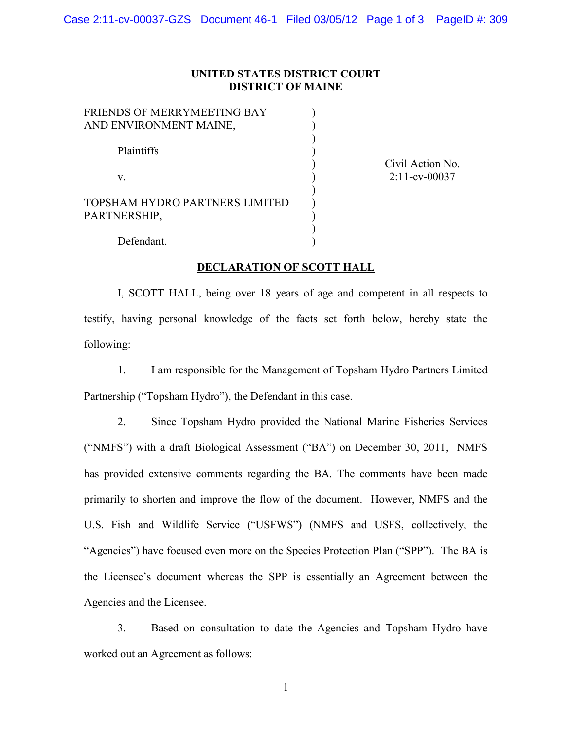## **UNITED STATES DISTRICT COURT DISTRICT OF MAINE**

| FRIENDS OF MERRYMEETING BAY    |  |
|--------------------------------|--|
| AND ENVIRONMENT MAINE,         |  |
|                                |  |
| Plaintiffs                     |  |
|                                |  |
| V                              |  |
|                                |  |
| TOPSHAM HYDRO PARTNERS LIMITED |  |
| PARTNERSHIP,                   |  |
|                                |  |

Civil Action No. 2:11-cv-00037

Defendant.

## **DECLARATION OF SCOTT HALL**

)

I, SCOTT HALL, being over 18 years of age and competent in all respects to testify, having personal knowledge of the facts set forth below, hereby state the following:

1. I am responsible for the Management of Topsham Hydro Partners Limited Partnership ("Topsham Hydro"), the Defendant in this case.

2. Since Topsham Hydro provided the National Marine Fisheries Services ("NMFS") with a draft Biological Assessment ("BA") on December 30, 2011, NMFS has provided extensive comments regarding the BA. The comments have been made primarily to shorten and improve the flow of the document. However, NMFS and the U.S. Fish and Wildlife Service ("USFWS") (NMFS and USFS, collectively, the "Agencies") have focused even more on the Species Protection Plan ("SPP"). The BA is the Licensee's document whereas the SPP is essentially an Agreement between the Agencies and the Licensee.

3. Based on consultation to date the Agencies and Topsham Hydro have worked out an Agreement as follows:

1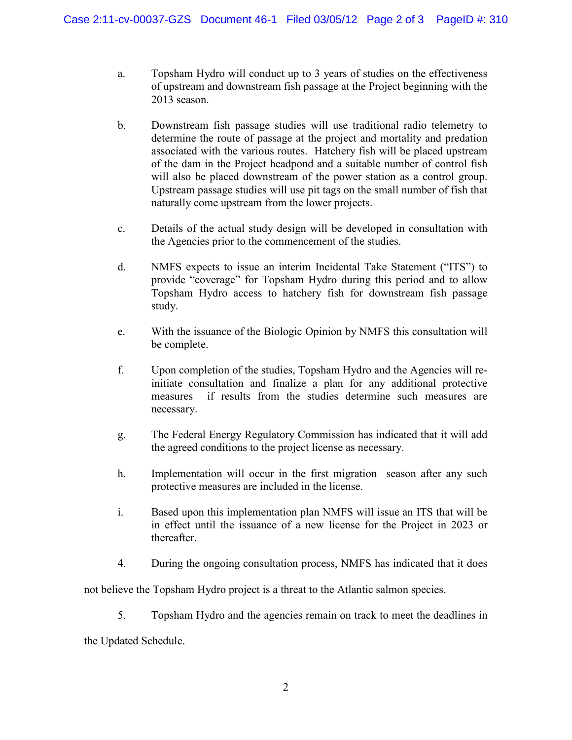- a. Topsham Hydro will conduct up to 3 years of studies on the effectiveness of upstream and downstream fish passage at the Project beginning with the 2013 season.
- b. Downstream fish passage studies will use traditional radio telemetry to determine the route of passage at the project and mortality and predation associated with the various routes. Hatchery fish will be placed upstream of the dam in the Project headpond and a suitable number of control fish will also be placed downstream of the power station as a control group. Upstream passage studies will use pit tags on the small number of fish that naturally come upstream from the lower projects.
- c. Details of the actual study design will be developed in consultation with the Agencies prior to the commencement of the studies.
- d. NMFS expects to issue an interim Incidental Take Statement ("ITS") to provide "coverage" for Topsham Hydro during this period and to allow Topsham Hydro access to hatchery fish for downstream fish passage study.
- e. With the issuance of the Biologic Opinion by NMFS this consultation will be complete.
- f. Upon completion of the studies, Topsham Hydro and the Agencies will reinitiate consultation and finalize a plan for any additional protective measures if results from the studies determine such measures are necessary.
- g. The Federal Energy Regulatory Commission has indicated that it will add the agreed conditions to the project license as necessary.
- h. Implementation will occur in the first migration season after any such protective measures are included in the license.
- i. Based upon this implementation plan NMFS will issue an ITS that will be in effect until the issuance of a new license for the Project in 2023 or thereafter.
- 4. During the ongoing consultation process, NMFS has indicated that it does

not believe the Topsham Hydro project is a threat to the Atlantic salmon species.

5. Topsham Hydro and the agencies remain on track to meet the deadlines in

the Updated Schedule.